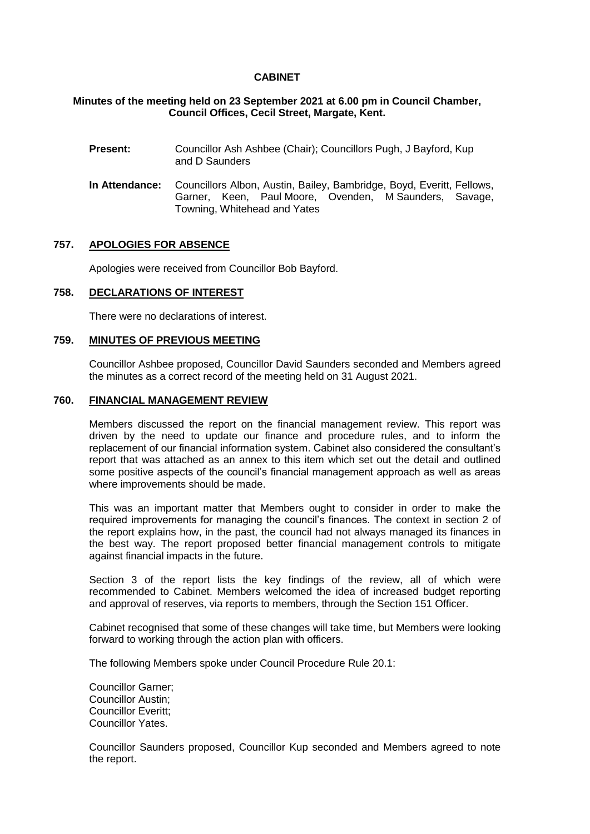# **CABINET**

# **Minutes of the meeting held on 23 September 2021 at 6.00 pm in Council Chamber, Council Offices, Cecil Street, Margate, Kent.**

- **Present:** Councillor Ash Ashbee (Chair); Councillors Pugh, J Bayford, Kup and D Saunders
- **In Attendance:** Councillors Albon, Austin, Bailey, Bambridge, Boyd, Everitt, Fellows, Garner, Keen, Paul Moore, Ovenden, M Saunders, Savage, Towning, Whitehead and Yates

### **757. APOLOGIES FOR ABSENCE**

Apologies were received from Councillor Bob Bayford.

# **758. DECLARATIONS OF INTEREST**

There were no declarations of interest.

### **759. MINUTES OF PREVIOUS MEETING**

Councillor Ashbee proposed, Councillor David Saunders seconded and Members agreed the minutes as a correct record of the meeting held on 31 August 2021.

### **760. FINANCIAL MANAGEMENT REVIEW**

Members discussed the report on the financial management review. This report was driven by the need to update our finance and procedure rules, and to inform the replacement of our financial information system. Cabinet also considered the consultant's report that was attached as an annex to this item which set out the detail and outlined some positive aspects of the council's financial management approach as well as areas where improvements should be made.

This was an important matter that Members ought to consider in order to make the required improvements for managing the council's finances. The context in section 2 of the report explains how, in the past, the council had not always managed its finances in the best way. The report proposed better financial management controls to mitigate against financial impacts in the future.

Section 3 of the report lists the key findings of the review, all of which were recommended to Cabinet. Members welcomed the idea of increased budget reporting and approval of reserves, via reports to members, through the Section 151 Officer.

Cabinet recognised that some of these changes will take time, but Members were looking forward to working through the action plan with officers.

The following Members spoke under Council Procedure Rule 20.1:

Councillor Garner; Councillor Austin; Councillor Everitt; Councillor Yates.

Councillor Saunders proposed, Councillor Kup seconded and Members agreed to note the report.